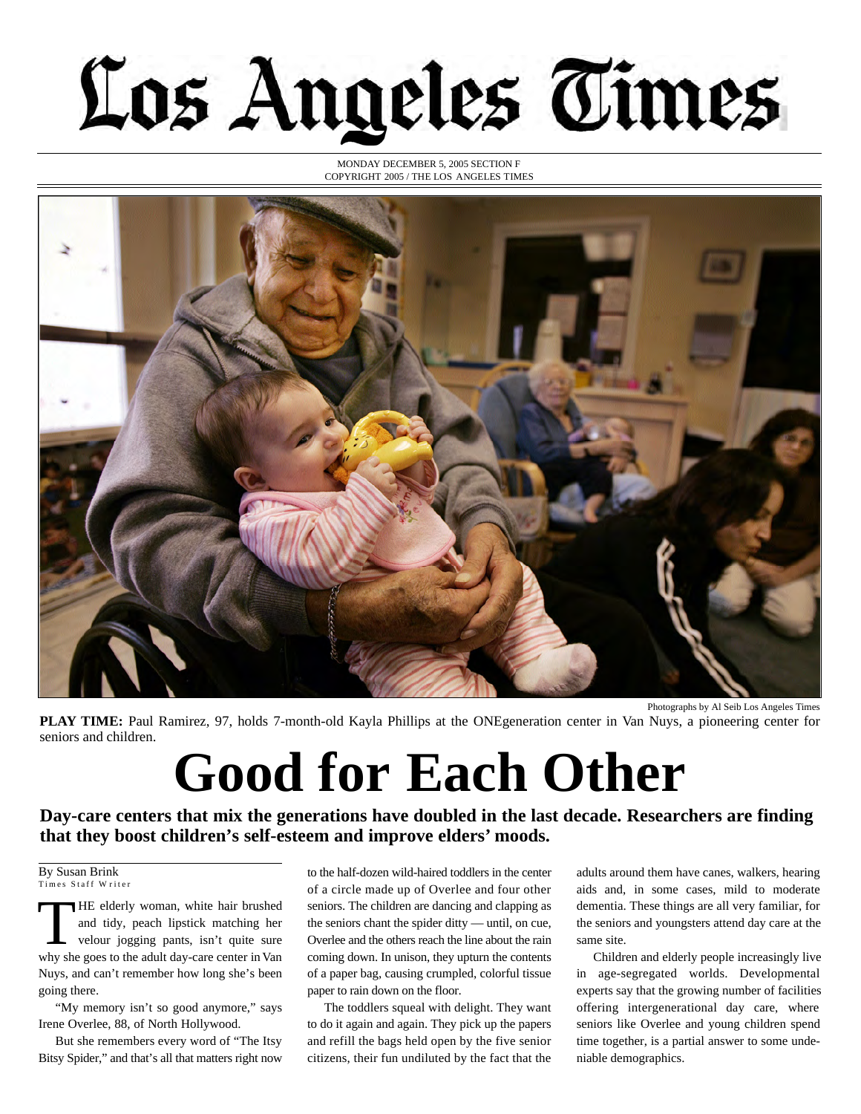## Los Angeles Times

MONDAY DECEMBER 5, 2005 SECTION F COPYRIGHT 2005 / THE LOS ANGELES TIMES



**PLAY TIME:** Paul Ramirez, 97, holds 7-month-old Kayla Phillips at the ONEgeneration center in Van Nuys, a pioneering center for seniors and children.

## **Good for Each Other**

**Day-care centers that mix the generations have doubled in the last decade. Researchers are finding that they boost children's self-esteem and improve elders' moods.**

By Susan Brink Times Staff Writer

THE elderly woman, white hair brushed<br>and tidy, peach lipstick matching her<br>velour jogging pants, isn't quite sure<br>why she goes to the adult day-care center in Van HE elderly woman, white hair brushed and tidy, peach lipstick matching her velour jogging pants, isn't quite sure Nuys, and can't remember how long she's been going there.

"My memory isn't so good anymore," says Irene Overlee, 88, of North Hollywood.

But she remembers every word of "The Itsy Bitsy Spider," and that's all that matters right now to the half-dozen wild-haired toddlers in the center of a circle made up of Overlee and four other seniors. The children are dancing and clapping as the seniors chant the spider ditty — until, on cue, Overlee and the others reach the line about the rain coming down. In unison, they upturn the contents of a paper bag, causing crumpled, colorful tissue paper to rain down on the floor.

The toddlers squeal with delight. They want to do it again and again. They pick up the papers and refill the bags held open by the five senior citizens, their fun undiluted by the fact that the

adults around them have canes, walkers, hearing aids and, in some cases, mild to moderate dementia. These things are all very familiar, for the seniors and youngsters attend day care at the same site.

Children and elderly people increasingly live in age-segregated worlds. Developmental experts say that the growing number of facilities offering intergenerational day care, where seniors like Overlee and young children spend time together, is a partial answer to some undeniable demographics.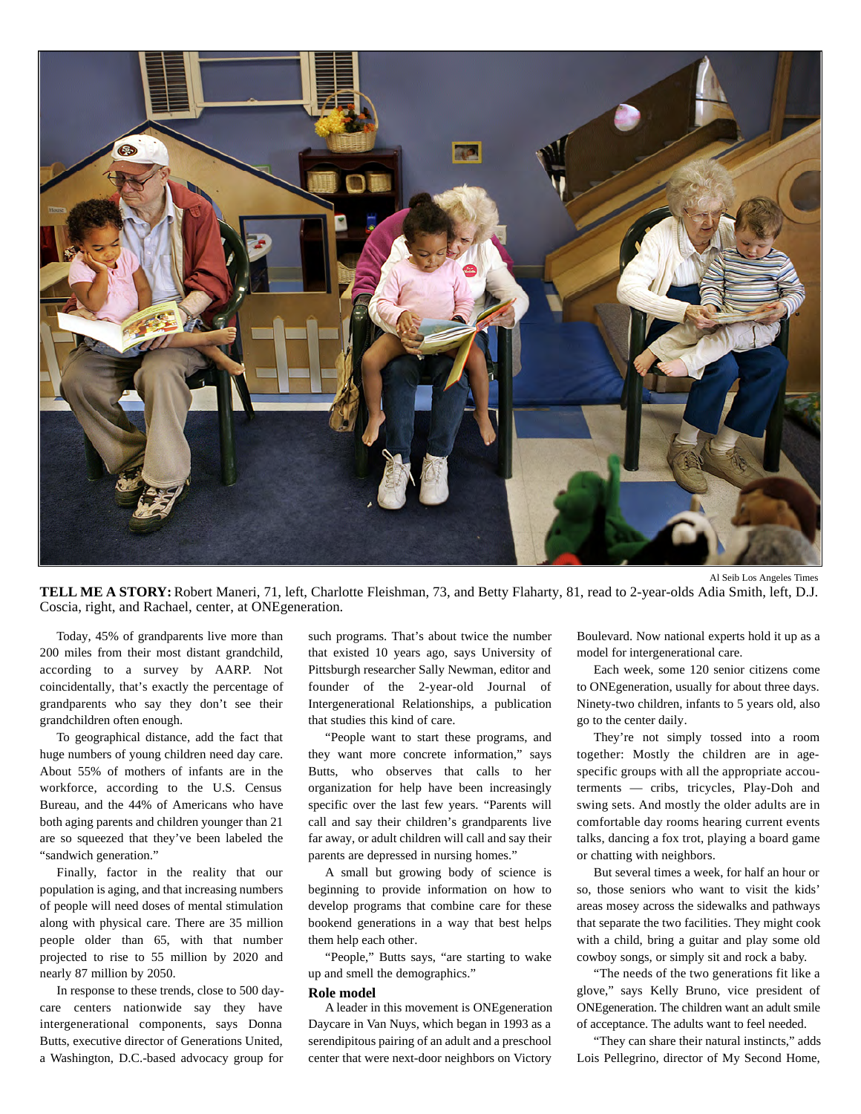

**TELL ME A STORY:** Robert Maneri, 71, left, Charlotte Fleishman, 73, and Betty Flaharty, 81, read to 2-year-olds Adia Smith, left, D.J. Coscia, right, and Rachael, center, at ONEgeneration.

Today, 45% of grandparents live more than 200 miles from their most distant grandchild, according to a survey by AARP. Not coincidentally, that's exactly the percentage of grandparents who say they don't see their grandchildren often enough.

To geographical distance, add the fact that huge numbers of young children need day care. About 55% of mothers of infants are in the workforce, according to the U.S. Census Bureau, and the 44% of Americans who have both aging parents and children younger than 21 are so squeezed that they've been labeled the "sandwich generation."

Finally, factor in the reality that our population is aging, and that increasing numbers of people will need doses of mental stimulation along with physical care. There are 35 million people older than 65, with that number projected to rise to 55 million by 2020 and nearly 87 million by 2050.

In response to these trends, close to 500 daycare centers nationwide say they have intergenerational components, says Donna Butts, executive director of Generations United, a Washington, D.C.-based advocacy group for

such programs. That's about twice the number that existed 10 years ago, says University of Pittsburgh researcher Sally Newman, editor and founder of the 2-year-old Journal of Intergenerational Relationships, a publication that studies this kind of care.

"People want to start these programs, and they want more concrete information," says Butts, who observes that calls to her organization for help have been increasingly specific over the last few years. "Parents will call and say their children's grandparents live far away, or adult children will call and say their parents are depressed in nursing homes."

A small but growing body of science is beginning to provide information on how to develop programs that combine care for these bookend generations in a way that best helps them help each other.

"People," Butts says, "are starting to wake up and smell the demographics."

## **Role model**

A leader in this movement is ONEgeneration Daycare in Van Nuys, which began in 1993 as a serendipitous pairing of an adult and a preschool center that were next-door neighbors on Victory

Boulevard. Now national experts hold it up as a model for intergenerational care.

Each week, some 120 senior citizens come to ONEgeneration, usually for about three days. Ninety-two children, infants to 5 years old, also go to the center daily.

They're not simply tossed into a room together: Mostly the children are in agespecific groups with all the appropriate accouterments — cribs, tricycles, Play-Doh and swing sets. And mostly the older adults are in comfortable day rooms hearing current events talks, dancing a fox trot, playing a board game or chatting with neighbors.

But several times a week, for half an hour or so, those seniors who want to visit the kids' areas mosey across the sidewalks and pathways that separate the two facilities. They might cook with a child, bring a guitar and play some old cowboy songs, or simply sit and rock a baby.

"The needs of the two generations fit like a glove," says Kelly Bruno, vice president of ONEgeneration. The children want an adult smile of acceptance. The adults want to feel needed.

"They can share their natural instincts," adds Lois Pellegrino, director of My Second Home,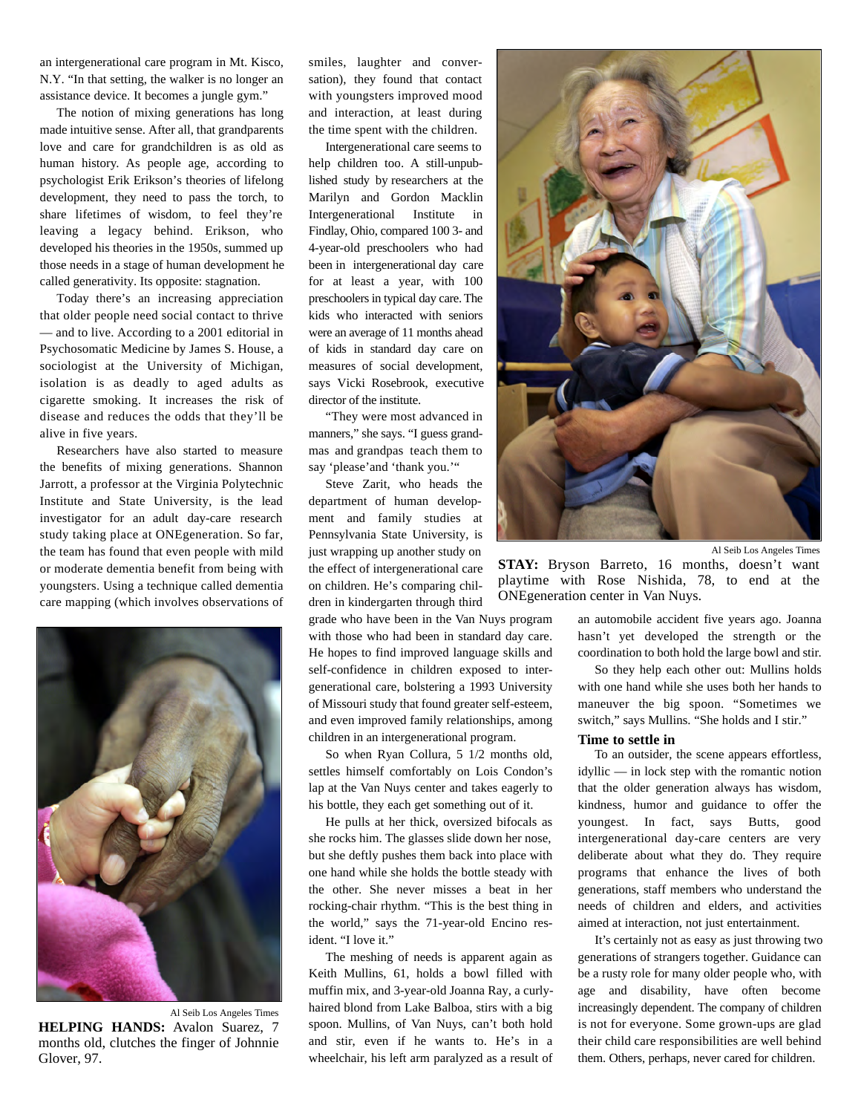an intergenerational care program in Mt. Kisco, N.Y. "In that setting, the walker is no longer an assistance device. It becomes a jungle gym."

The notion of mixing generations has long made intuitive sense. After all, that grandparents love and care for grandchildren is as old as human history. As people age, according to psychologist Erik Erikson's theories of lifelong development, they need to pass the torch, to share lifetimes of wisdom, to feel they're leaving a legacy behind. Erikson, who developed his theories in the 1950s, summed up those needs in a stage of human development he called generativity. Its opposite: stagnation.

Today there's an increasing appreciation that older people need social contact to thrive — and to live. According to a 2001 editorial in Psychosomatic Medicine by James S. House, a sociologist at the University of Michigan, isolation is as deadly to aged adults as cigarette smoking. It increases the risk of disease and reduces the odds that they'll be alive in five years.

Researchers have also started to measure the benefits of mixing generations. Shannon Jarrott, a professor at the Virginia Polytechnic Institute and State University, is the lead investigator for an adult day-care research study taking place at ONEgeneration. So far, the team has found that even people with mild or moderate dementia benefit from being with youngsters. Using a technique called dementia care mapping (which involves observations of



Al Seib Los Angeles Times **HELPING HANDS:** Avalon Suarez, 7 months old, clutches the finger of Johnnie Glover, 97.

smiles, laughter and conversation), they found that contact with youngsters improved mood and interaction, at least during the time spent with the children.

Intergenerational care seems to help children too. A still-unpublished study by researchers at the Marilyn and Gordon Macklin Intergenerational Institute in Findlay, Ohio, compared 100 3- and 4-year-old preschoolers who had been in intergenerational day care for at least a year, with 100 preschoolers in typical day care. The kids who interacted with seniors were an average of 11 months ahead of kids in standard day care on measures of social development, says Vicki Rosebrook, executive director of the institute.

"They were most advanced in manners," she says. "I guess grandmas and grandpas teach them to say 'please'and 'thank you.'"

Steve Zarit, who heads the department of human development and family studies at Pennsylvania State University, is just wrapping up another study on the effect of intergenerational care on children. He's comparing children in kindergarten through third

grade who have been in the Van Nuys program with those who had been in standard day care. He hopes to find improved language skills and self-confidence in children exposed to intergenerational care, bolstering a 1993 University of Missouri study that found greater self-esteem, and even improved family relationships, among children in an intergenerational program.

So when Ryan Collura, 5 1/2 months old, settles himself comfortably on Lois Condon's lap at the Van Nuys center and takes eagerly to his bottle, they each get something out of it.

He pulls at her thick, oversized bifocals as she rocks him. The glasses slide down her nose, but she deftly pushes them back into place with one hand while she holds the bottle steady with the other. She never misses a beat in her rocking-chair rhythm. "This is the best thing in the world," says the 71-year-old Encino resident. "I love it."

The meshing of needs is apparent again as Keith Mullins, 61, holds a bowl filled with muffin mix, and 3-year-old Joanna Ray, a curlyhaired blond from Lake Balboa, stirs with a big spoon. Mullins, of Van Nuys, can't both hold and stir, even if he wants to. He's in a wheelchair, his left arm paralyzed as a result of



Al Seib Los Angeles Times

STAY: Bryson Barreto, 16 months, doesn't want playtime with Rose Nishida, 78, to end at the ONEgeneration center in Van Nuys.

> an automobile accident five years ago. Joanna hasn't yet developed the strength or the coordination to both hold the large bowl and stir.

> So they help each other out: Mullins holds with one hand while she uses both her hands to maneuver the big spoon. "Sometimes we switch," says Mullins. "She holds and I stir."

## **Time to settle in**

To an outsider, the scene appears effortless, idyllic — in lock step with the romantic notion that the older generation always has wisdom, kindness, humor and guidance to offer the youngest. In fact, says Butts, good intergenerational day-care centers are very deliberate about what they do. They require programs that enhance the lives of both generations, staff members who understand the needs of children and elders, and activities aimed at interaction, not just entertainment.

It's certainly not as easy as just throwing two generations of strangers together. Guidance can be a rusty role for many older people who, with age and disability, have often become increasingly dependent. The company of children is not for everyone. Some grown-ups are glad their child care responsibilities are well behind them. Others, perhaps, never cared for children.